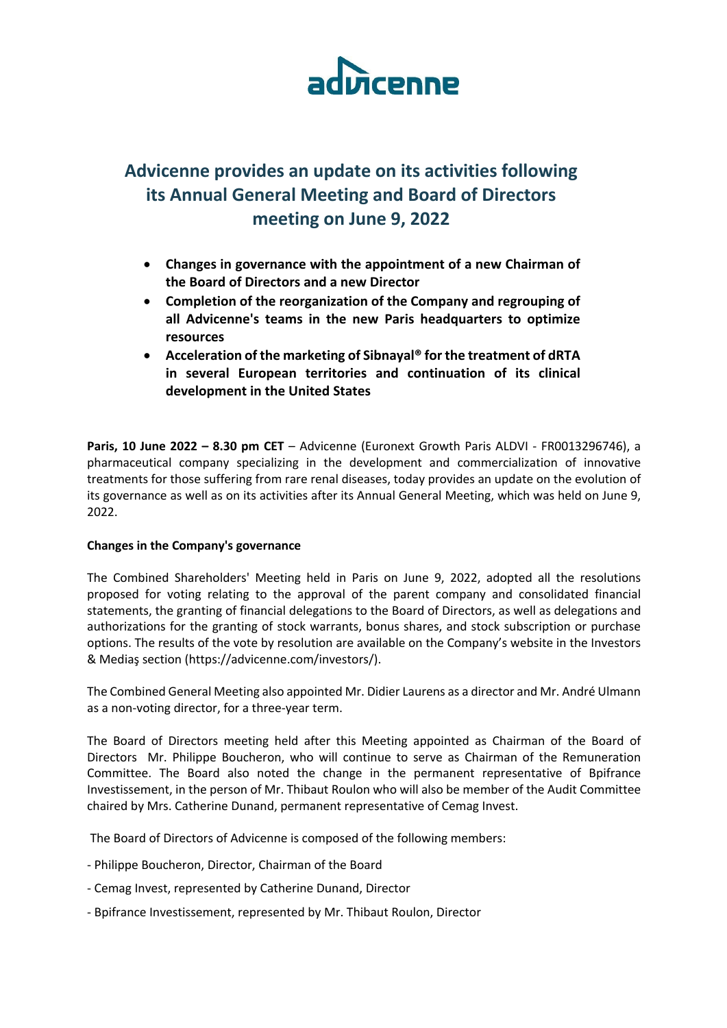

# **Advicenne provides an update on its activities following its Annual General Meeting and Board of Directors meeting on June 9, 2022**

- **Changes in governance with the appointment of a new Chairman of the Board of Directors and a new Director**
- **Completion of the reorganization of the Company and regrouping of all Advicenne's teams in the new Paris headquarters to optimize resources**
- **Acceleration of the marketing of Sibnayal® for the treatment of dRTA in several European territories and continuation of its clinical development in the United States**

**Paris, 10 June 2022 – 8.30 pm CET** – Advicenne (Euronext Growth Paris ALDVI - FR0013296746), a pharmaceutical company specializing in the development and commercialization of innovative treatments for those suffering from rare renal diseases, today provides an update on the evolution of its governance as well as on its activities after its Annual General Meeting, which was held on June 9, 2022.

## **Changes in the Company's governance**

The Combined Shareholders' Meeting held in Paris on June 9, 2022, adopted all the resolutions proposed for voting relating to the approval of the parent company and consolidated financial statements, the granting of financial delegations to the Board of Directors, as well as delegations and authorizations for the granting of stock warrants, bonus shares, and stock subscription or purchase options. The results of the vote by resolution are available on the Company's website in the Investors & Mediaş section (https://advicenne.com/investors/).

The Combined General Meeting also appointed Mr. Didier Laurens as a director and Mr. André Ulmann as a non-voting director, for a three-year term.

The Board of Directors meeting held after this Meeting appointed as Chairman of the Board of Directors Mr. Philippe Boucheron, who will continue to serve as Chairman of the Remuneration Committee. The Board also noted the change in the permanent representative of Bpifrance Investissement, in the person of Mr. Thibaut Roulon who will also be member of the Audit Committee chaired by Mrs. Catherine Dunand, permanent representative of Cemag Invest.

The Board of Directors of Advicenne is composed of the following members:

- Philippe Boucheron, Director, Chairman of the Board
- Cemag Invest, represented by Catherine Dunand, Director
- Bpifrance Investissement, represented by Mr. Thibaut Roulon, Director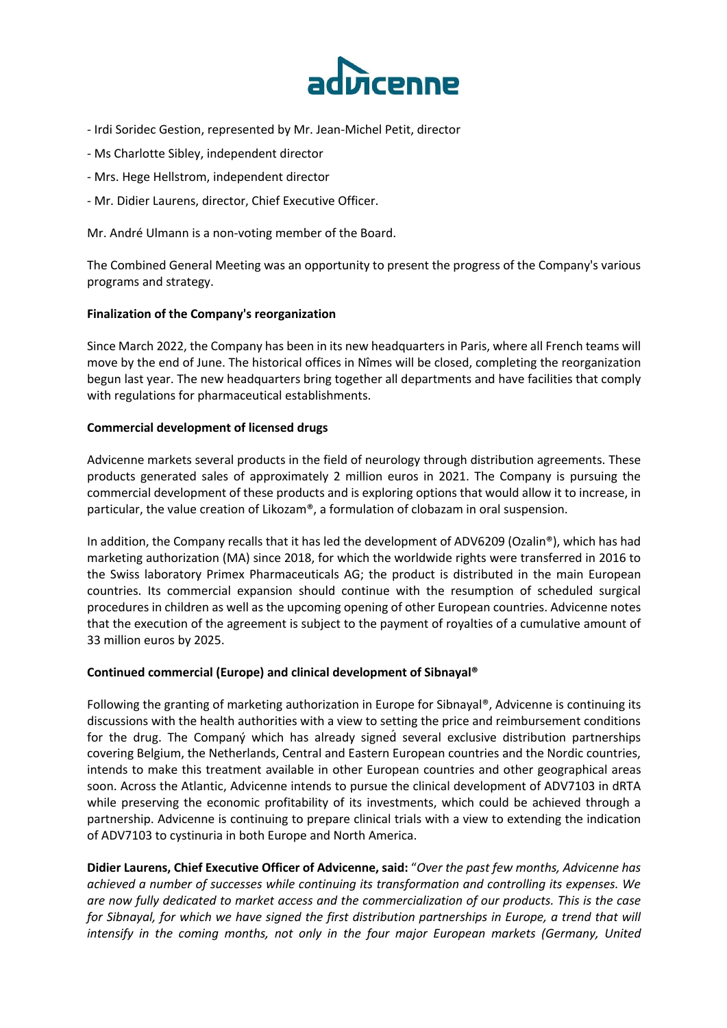

- Irdi Soridec Gestion, represented by Mr. Jean-Michel Petit, director
- Ms Charlotte Sibley, independent director
- Mrs. Hege Hellstrom, independent director
- Mr. Didier Laurens, director, Chief Executive Officer.

Mr. André Ulmann is a non-voting member of the Board.

The Combined General Meeting was an opportunity to present the progress of the Company's various programs and strategy.

# **Finalization of the Company's reorganization**

Since March 2022, the Company has been in its new headquarters in Paris, where all French teams will move by the end of June. The historical offices in Nîmes will be closed, completing the reorganization begun last year. The new headquarters bring together all departments and have facilities that comply with regulations for pharmaceutical establishments.

# **Commercial development of licensed drugs**

Advicenne markets several products in the field of neurology through distribution agreements. These products generated sales of approximately 2 million euros in 2021. The Company is pursuing the commercial development of these products and is exploring options that would allow it to increase, in particular, the value creation of Likozam®, a formulation of clobazam in oral suspension.

In addition, the Company recalls that it has led the development of ADV6209 (Ozalin®), which has had marketing authorization (MA) since 2018, for which the worldwide rights were transferred in 2016 to the Swiss laboratory Primex Pharmaceuticals AG; the product is distributed in the main European countries. Its commercial expansion should continue with the resumption of scheduled surgical procedures in children as well as the upcoming opening of other European countries. Advicenne notes that the execution of the agreement is subject to the payment of royalties of a cumulative amount of 33 million euros by 2025.

## **Continued commercial (Europe) and clinical development of Sibnayal®**

Following the granting of marketing authorization in Europe for Sibnayal®, Advicenne is continuing its discussions with the health authorities with a view to setting the price and reimbursement conditions for the drug. The Company which has already signed several exclusive distribution partnerships covering Belgium, the Netherlands, Central and Eastern European countries and the Nordic countries, intends to make this treatment available in other European countries and other geographical areas soon. Across the Atlantic, Advicenne intends to pursue the clinical development of ADV7103 in dRTA while preserving the economic profitability of its investments, which could be achieved through a partnership. Advicenne is continuing to prepare clinical trials with a view to extending the indication of ADV7103 to cystinuria in both Europe and North America.

**Didier Laurens, Chief Executive Officer of Advicenne, said:** "*Over the past few months, Advicenne has achieved a number of successes while continuing its transformation and controlling its expenses. We are now fully dedicated to market access and the commercialization of our products. This is the case for Sibnayal, for which we have signed the first distribution partnerships in Europe, a trend that will intensify in the coming months, not only in the four major European markets (Germany, United*